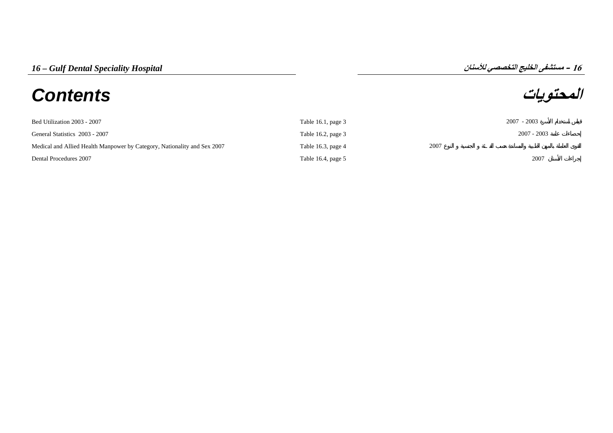## **المحتويات** *Contents*

## **16**

| Bed Utilization 2003 - 2007                                              | Table 16.1, page $3$ |      | $2007 - 2003$ |
|--------------------------------------------------------------------------|----------------------|------|---------------|
| General Statistics 2003 - 2007                                           | Table 16.2, page $3$ |      | $2007 - 2003$ |
| Medical and Allied Health Manpower by Category, Nationality and Sex 2007 | Table 16.3, page 4   | 2007 |               |
| Dental Procedures 2007                                                   | Table 16.4, page 5   |      | 2007          |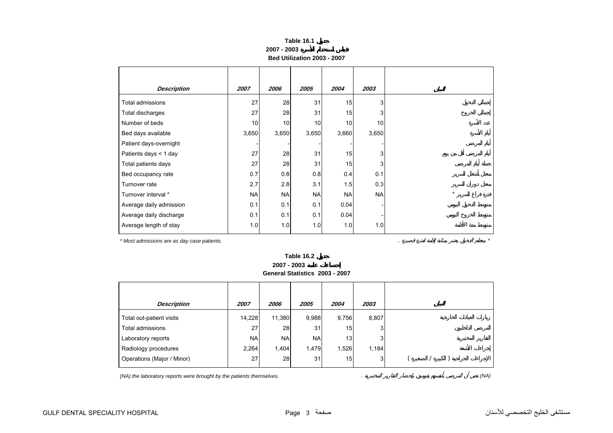## **Table 16.1 2007 - 2003Bed Utilization 2003 - 2007**

<span id="page-1-0"></span>

| <b>Description</b>      | 2007      | 2006      | 2005      | 2004            | 2003      |
|-------------------------|-----------|-----------|-----------|-----------------|-----------|
| Total admissions        | 27        | 28        | 31        | 15              | 3         |
| Total discharges        | 27        | 28        | 31        | 15              | 3         |
| Number of beds          | 10        | 10        | 10        | 10 <sub>1</sub> | 10        |
| Bed days available      | 3,650     | 3,650     | 3,650     | 3,660           | 3,650     |
| Patient days-overnight  |           |           |           |                 |           |
| Patients days < 1 day   | 27        | 28        | 31        | 15              | 3         |
| Total patients days     | 27        | 28        | 31        | 15              | 3         |
| Bed occupancy rate      | 0.7       | 0.8       | 0.8       | 0.4             | 0.1       |
| Turnover rate           | 2.7       | 2.8       | 3.1       | 1.5             | 0.3       |
| Turnover interval *     | <b>NA</b> | <b>NA</b> | <b>NA</b> | <b>NA</b>       | <b>NA</b> |
| Average daily admission | 0.1       | 0.1       | 0.1       | 0.04            |           |
| Average daily discharge | 0.1       | 0.1       | 0.1       | 0.04            |           |
| Average length of stay  | 1.0       | 1.0       | 1.0       | 1.0             | 1.0       |

*\* Most admissions are as day case patients.* . *\**

**Table 16.2 2007 - 2003General Statistics 2003 - 2007**

| Description                | 2007       | 2006      | 2005       | 2004            | 2003  |  |  |  |
|----------------------------|------------|-----------|------------|-----------------|-------|--|--|--|
| Total out-patient visits   | 14.228     | 11,380    | 9,988      | 9,756           | 8,807 |  |  |  |
| Total admissions           | 27         | 28        | 31         | 15              | 3     |  |  |  |
| Laboratory reports         | <b>NAI</b> | <b>NA</b> | <b>NAI</b> | 13 <sup>1</sup> | 3     |  |  |  |
| Radiology procedures       | 2,264      | 1,404     | 1,479      | 1,526           | 1,184 |  |  |  |
| Operations (Major / Minor) | 27         | 28        | 31         | 15 <sub>l</sub> | 3     |  |  |  |
|                            |            |           |            |                 |       |  |  |  |

*(NA) the laboratory reports were brought by the patients themselves.* . *(NA)*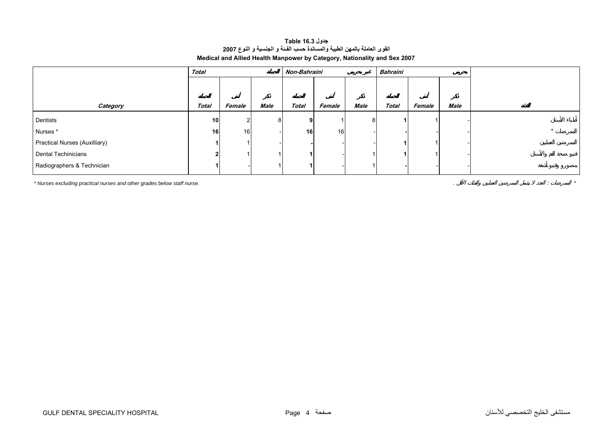## **جدول 16.3 Table القوى العاملة بالمهن الطبية والمساندة حسب الفـئة <sup>و</sup> الجنسية <sup>و</sup> النوع <sup>2007</sup> Medical and Allied Health Manpower by Category, Nationality and Sex 2007**

<span id="page-2-0"></span>

|                               | <b>Total</b>    |        |      | Non-Bahraini |        |             | Bahraini |        |      |  |
|-------------------------------|-----------------|--------|------|--------------|--------|-------------|----------|--------|------|--|
|                               |                 |        |      |              |        |             |          |        |      |  |
|                               |                 |        |      |              |        |             |          |        |      |  |
| Category                      | <b>Total</b>    | Female | Male | <b>Total</b> | Female | <b>Male</b> | Total    | Female | Male |  |
| Dentists                      | 10 <sup>1</sup> | 2      |      | 9            |        | 8           |          |        |      |  |
| Nurses *                      | 16              | 16     |      | 16           | 16     |             |          |        |      |  |
| Practical Nurses (Auxilliary) |                 |        |      |              |        |             |          |        |      |  |
| Dental Techinicians           |                 |        |      |              |        |             |          |        |      |  |
| Radiographers & Technician    |                 |        |      |              |        |             |          |        |      |  |

*\* Nurses excluding practical nurses and other grades below staff nurse.* . : *\**